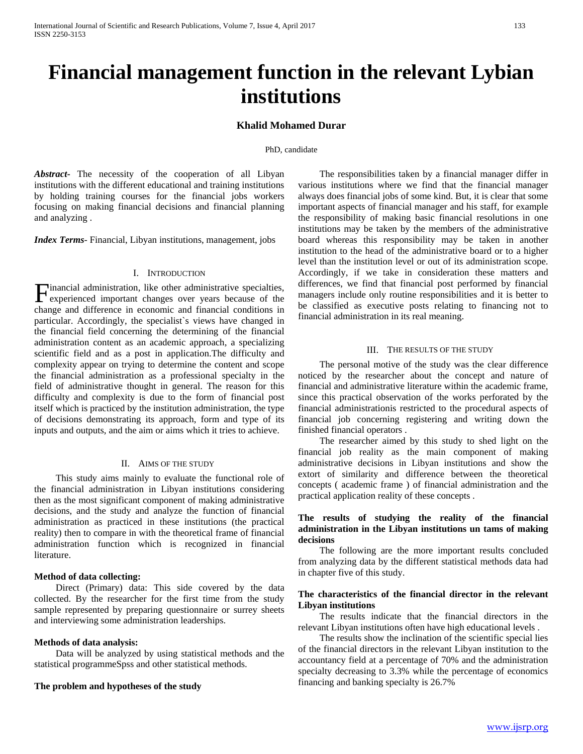# **Financial management function in the relevant Lybian institutions**

## **Khalid Mohamed Durar**

#### PhD, candidate

*Abstract***-** The necessity of the cooperation of all Libyan institutions with the different educational and training institutions by holding training courses for the financial jobs workers focusing on making financial decisions and financial planning and analyzing .

*Index Terms*- Financial, Libyan institutions, management, jobs

## I. INTRODUCTION

inancial administration, like other administrative specialties, Financial administration, like other administrative specialties, experienced important changes over years because of the change and difference in economic and financial conditions in particular. Accordingly, the specialist`s views have changed in the financial field concerning the determining of the financial administration content as an academic approach, a specializing scientific field and as a post in application.The difficulty and complexity appear on trying to determine the content and scope the financial administration as a professional specialty in the field of administrative thought in general. The reason for this difficulty and complexity is due to the form of financial post itself which is practiced by the institution administration, the type of decisions demonstrating its approach, form and type of its inputs and outputs, and the aim or aims which it tries to achieve.

#### II. AIMS OF THE STUDY

 This study aims mainly to evaluate the functional role of the financial administration in Libyan institutions considering then as the most significant component of making administrative decisions, and the study and analyze the function of financial administration as practiced in these institutions (the practical reality) then to compare in with the theoretical frame of financial administration function which is recognized in financial literature.

#### **Method of data collecting:**

 Direct (Primary) data: This side covered by the data collected. By the researcher for the first time from the study sample represented by preparing questionnaire or surrey sheets and interviewing some administration leaderships.

#### **Methods of data analysis:**

 Data will be analyzed by using statistical methods and the statistical programmeSpss and other statistical methods.

### **The problem and hypotheses of the study**

 The responsibilities taken by a financial manager differ in various institutions where we find that the financial manager always does financial jobs of some kind. But, it is clear that some important aspects of financial manager and his staff, for example the responsibility of making basic financial resolutions in one institutions may be taken by the members of the administrative board whereas this responsibility may be taken in another institution to the head of the administrative board or to a higher level than the institution level or out of its administration scope. Accordingly, if we take in consideration these matters and differences, we find that financial post performed by financial managers include only routine responsibilities and it is better to be classified as executive posts relating to financing not to financial administration in its real meaning.

#### III. THE RESULTS OF THE STUDY

 The personal motive of the study was the clear difference noticed by the researcher about the concept and nature of financial and administrative literature within the academic frame, since this practical observation of the works perforated by the financial administrationis restricted to the procedural aspects of financial job concerning registering and writing down the finished financial operators .

 The researcher aimed by this study to shed light on the financial job reality as the main component of making administrative decisions in Libyan institutions and show the extort of similarity and difference between the theoretical concepts ( academic frame ) of financial administration and the practical application reality of these concepts .

## **The results of studying the reality of the financial administration in the Libyan institutions un tams of making decisions**

 The following are the more important results concluded from analyzing data by the different statistical methods data had in chapter five of this study.

#### **The characteristics of the financial director in the relevant Libyan institutions**

 The results indicate that the financial directors in the relevant Libyan institutions often have high educational levels .

 The results show the inclination of the scientific special lies of the financial directors in the relevant Libyan institution to the accountancy field at a percentage of 70% and the administration specialty decreasing to 3.3% while the percentage of economics financing and banking specialty is 26.7%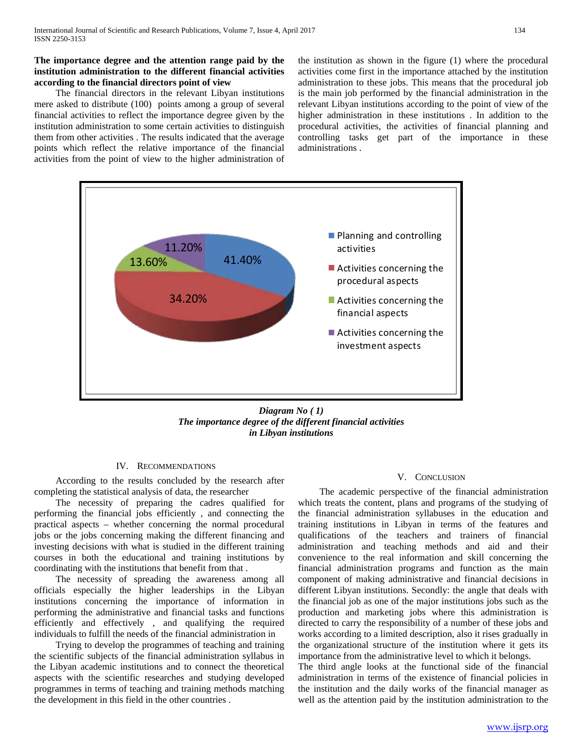## **The importance degree and the attention range paid by the institution administration to the different financial activities according to the financial directors point of view**

 The financial directors in the relevant Libyan institutions mere asked to distribute (100) points among a group of several financial activities to reflect the importance degree given by the institution administration to some certain activities to distinguish them from other activities . The results indicated that the average points which reflect the relative importance of the financial activities from the point of view to the higher administration of the institution as shown in the figure (1) where the procedural activities come first in the importance attached by the institution administration to these jobs. This means that the procedural job is the main job performed by the financial administration in the relevant Libyan institutions according to the point of view of the higher administration in these institutions . In addition to the procedural activities, the activities of financial planning and controlling tasks get part of the importance in these administrations .



*Diagram No ( 1) The importance degree of the different financial activities in Libyan institutions*

## IV. RECOMMENDATIONS

 According to the results concluded by the research after completing the statistical analysis of data, the researcher

 The necessity of preparing the cadres qualified for performing the financial jobs efficiently , and connecting the practical aspects – whether concerning the normal procedural jobs or the jobs concerning making the different financing and investing decisions with what is studied in the different training courses in both the educational and training institutions by coordinating with the institutions that benefit from that .

 The necessity of spreading the awareness among all officials especially the higher leaderships in the Libyan institutions concerning the importance of information in performing the administrative and financial tasks and functions efficiently and effectively , and qualifying the required individuals to fulfill the needs of the financial administration in

 Trying to develop the programmes of teaching and training the scientific subjects of the financial administration syllabus in the Libyan academic institutions and to connect the theoretical aspects with the scientific researches and studying developed programmes in terms of teaching and training methods matching the development in this field in the other countries .

#### V. CONCLUSION

 The academic perspective of the financial administration which treats the content, plans and programs of the studying of the financial administration syllabuses in the education and training institutions in Libyan in terms of the features and qualifications of the teachers and trainers of financial administration and teaching methods and aid and their convenience to the real information and skill concerning the financial administration programs and function as the main component of making administrative and financial decisions in different Libyan institutions. Secondly: the angle that deals with the financial job as one of the major institutions jobs such as the production and marketing jobs where this administration is directed to carry the responsibility of a number of these jobs and works according to a limited description, also it rises gradually in the organizational structure of the institution where it gets its importance from the administrative level to which it belongs.

The third angle looks at the functional side of the financial administration in terms of the existence of financial policies in the institution and the daily works of the financial manager as well as the attention paid by the institution administration to the